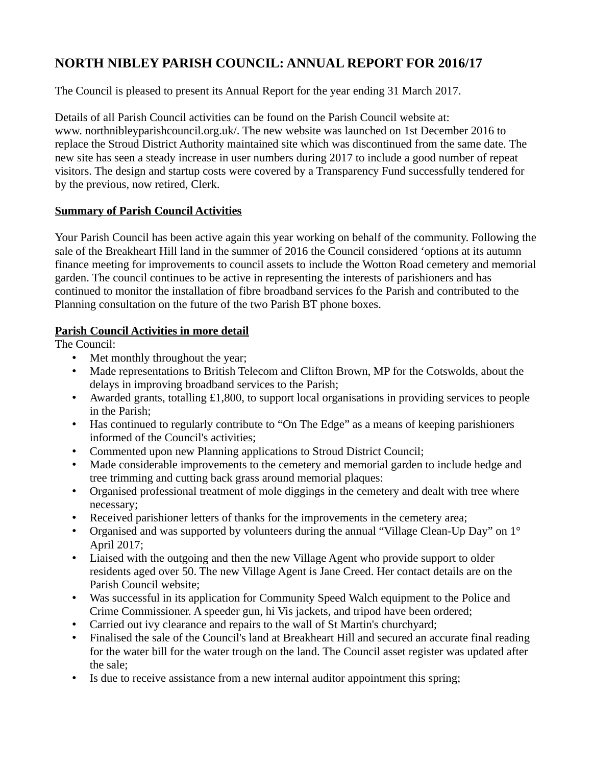# **NORTH NIBLEY PARISH COUNCIL: ANNUAL REPORT FOR 2016/17**

The Council is pleased to present its Annual Report for the year ending 31 March 2017.

Details of all Parish Council activities can be found on the Parish Council website at: www. northnibleyparishcouncil.org.uk/. The new website was launched on 1st December 2016 to replace the Stroud District Authority maintained site which was discontinued from the same date. The new site has seen a steady increase in user numbers during 2017 to include a good number of repeat visitors. The design and startup costs were covered by a Transparency Fund successfully tendered for by the previous, now retired, Clerk.

## **Summary of Parish Council Activities**

Your Parish Council has been active again this year working on behalf of the community. Following the sale of the Breakheart Hill land in the summer of 2016 the Council considered 'options at its autumn finance meeting for improvements to council assets to include the Wotton Road cemetery and memorial garden. The council continues to be active in representing the interests of parishioners and has continued to monitor the installation of fibre broadband services fo the Parish and contributed to the Planning consultation on the future of the two Parish BT phone boxes.

## **Parish Council Activities in more detail**

The Council:

- Met monthly throughout the year;
- Made representations to British Telecom and Clifton Brown, MP for the Cotswolds, about the delays in improving broadband services to the Parish;
- Awarded grants, totalling £1,800, to support local organisations in providing services to people in the Parish;
- Has continued to regularly contribute to "On The Edge" as a means of keeping parishioners informed of the Council's activities;
- Commented upon new Planning applications to Stroud District Council;
- Made considerable improvements to the cemetery and memorial garden to include hedge and tree trimming and cutting back grass around memorial plaques:
- Organised professional treatment of mole diggings in the cemetery and dealt with tree where necessary;
- Received parishioner letters of thanks for the improvements in the cemetery area;
- Organised and was supported by volunteers during the annual "Village Clean-Up Day" on 1° April 2017;
- Liaised with the outgoing and then the new Village Agent who provide support to older residents aged over 50. The new Village Agent is Jane Creed. Her contact details are on the Parish Council website;
- Was successful in its application for Community Speed Walch equipment to the Police and Crime Commissioner. A speeder gun, hi Vis jackets, and tripod have been ordered;
- Carried out ivy clearance and repairs to the wall of St Martin's churchyard;
- Finalised the sale of the Council's land at Breakheart Hill and secured an accurate final reading for the water bill for the water trough on the land. The Council asset register was updated after the sale;
- Is due to receive assistance from a new internal auditor appointment this spring;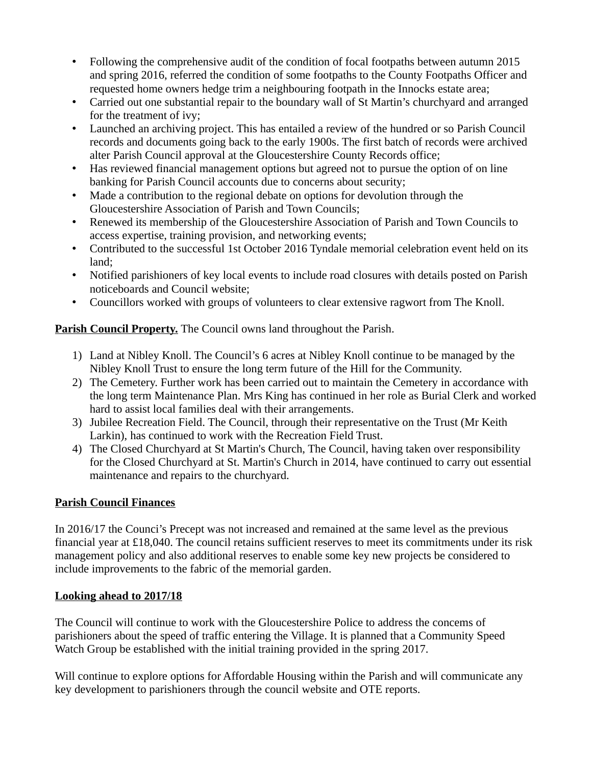- Following the comprehensive audit of the condition of focal footpaths between autumn 2015 and spring 2016, referred the condition of some footpaths to the County Footpaths Officer and requested home owners hedge trim a neighbouring footpath in the Innocks estate area;
- Carried out one substantial repair to the boundary wall of St Martin's churchyard and arranged for the treatment of ivy;
- Launched an archiving project. This has entailed a review of the hundred or so Parish Council records and documents going back to the early 1900s. The first batch of records were archived alter Parish Council approval at the Gloucestershire County Records office;
- Has reviewed financial management options but agreed not to pursue the option of on line banking for Parish Council accounts due to concerns about security;
- Made a contribution to the regional debate on options for devolution through the Gloucestershire Association of Parish and Town Councils;
- Renewed its membership of the Gloucestershire Association of Parish and Town Councils to access expertise, training provision, and networking events;
- Contributed to the successful 1st October 2016 Tyndale memorial celebration event held on its land;
- Notified parishioners of key local events to include road closures with details posted on Parish noticeboards and Council website;
- Councillors worked with groups of volunteers to clear extensive ragwort from The Knoll.

**Parish Council Property.** The Council owns land throughout the Parish.

- 1) Land at Nibley Knoll. The Council's 6 acres at Nibley Knoll continue to be managed by the Nibley Knoll Trust to ensure the long term future of the Hill for the Community.
- 2) The Cemetery. Further work has been carried out to maintain the Cemetery in accordance with the long term Maintenance Plan. Mrs King has continued in her role as Burial Clerk and worked hard to assist local families deal with their arrangements.
- 3) Jubilee Recreation Field. The Council, through their representative on the Trust (Mr Keith Larkin), has continued to work with the Recreation Field Trust.
- 4) The Closed Churchyard at St Martin's Church, The Council, having taken over responsibility for the Closed Churchyard at St. Martin's Church in 2014, have continued to carry out essential maintenance and repairs to the churchyard.

### **Parish Council Finances**

In 2016/17 the Counci's Precept was not increased and remained at the same level as the previous financial year at £18,040. The council retains sufficient reserves to meet its commitments under its risk management policy and also additional reserves to enable some key new projects be considered to include improvements to the fabric of the memorial garden.

### **Looking ahead to 2017/18**

The Council will continue to work with the Gloucestershire Police to address the concems of parishioners about the speed of traffic entering the Village. It is planned that a Community Speed Watch Group be established with the initial training provided in the spring 2017.

Will continue to explore options for Affordable Housing within the Parish and will communicate any key development to parishioners through the council website and OTE reports.